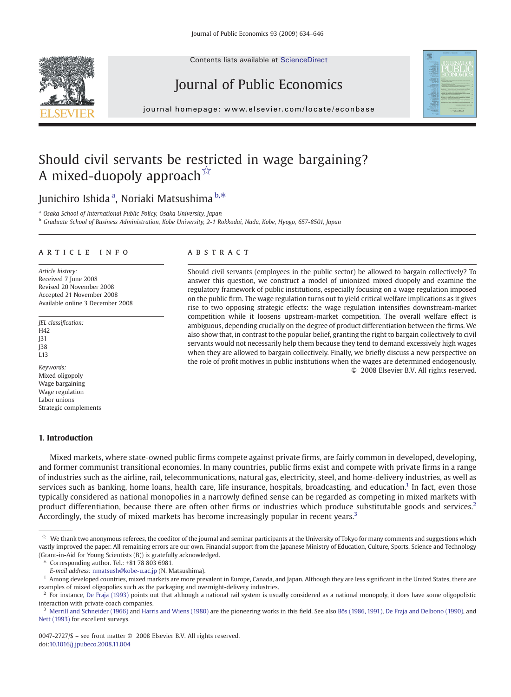

Contents lists available at ScienceDirect

## Journal of Public Economics



j o u r n a l h om e p a g e : www. e l s ev i e r. c om / l o c a t e / e c o n b a s e

### Should civil servants be restricted in wage bargaining? A mixed-duopoly approach  $\overline{X}$

### Junichiro Ishidaª, Noriaki Matsushima <sup>b,∗</sup>

<sup>a</sup> Osaka School of International Public Policy, Osaka University, Japan

<sup>b</sup> Graduate School of Business Administration, Kobe University, 2-1 Rokkodai, Nada, Kobe, Hyogo, 657-8501, Japan

#### article info abstract

Article history: Received 7 June 2008 Revised 20 November 2008 Accepted 21 November 2008 Available online 3 December 2008

JEL classification: H42 J31 J38 i 13

Keywords: Mixed oligopoly Wage bargaining Wage regulation Labor unions Strategic complements

### 1. Introduction

Should civil servants (employees in the public sector) be allowed to bargain collectively? To answer this question, we construct a model of unionized mixed duopoly and examine the regulatory framework of public institutions, especially focusing on a wage regulation imposed on the public firm. The wage regulation turns out to yield critical welfare implications as it gives rise to two opposing strategic effects: the wage regulation intensifies downstream-market competition while it loosens upstream-market competition. The overall welfare effect is ambiguous, depending crucially on the degree of product differentiation between the firms. We also show that, in contrast to the popular belief, granting the right to bargain collectively to civil servants would not necessarily help them because they tend to demand excessively high wages when they are allowed to bargain collectively. Finally, we briefly discuss a new perspective on the role of profit motives in public institutions when the wages are determined endogenously. © 2008 Elsevier B.V. All rights reserved.

Mixed markets, where state-owned public firms compete against private firms, are fairly common in developed, developing, and former communist transitional economies. In many countries, public firms exist and compete with private firms in a range of industries such as the airline, rail, telecommunications, natural gas, electricity, steel, and home-delivery industries, as well as services such as banking, home loans, health care, life insurance, hospitals, broadcasting, and education.<sup>1</sup> In fact, even those typically considered as national monopolies in a narrowly defined sense can be regarded as competing in mixed markets with product differentiation, because there are often other firms or industries which produce substitutable goods and services.<sup>2</sup> Accordingly, the study of mixed markets has become increasingly popular in recent years.<sup>3</sup>

We thank two anonymous referees, the coeditor of the journal and seminar participants at the University of Tokyo for many comments and suggestions which vastly improved the paper. All remaining errors are our own. Financial support from the Japanese Ministry of Education, Culture, Sports, Science and Technology (Grant-in-Aid for Young Scientists (B)) is gratefully acknowledged.

Corresponding author. Tel.: +81 78 803 6981.

E-mail address: [nmatsush@kobe-u.ac.jp](mailto:nmatsush@kobe-u.ac.jp) (N. Matsushima).

<sup>&</sup>lt;sup>1</sup> Among developed countries, mixed markets are more prevalent in Europe, Canada, and Japan. Although they are less significant in the United States, there are examples of mixed oligopolies such as the packaging and overnight-delivery industries.

 $^2$  For instance, [De Fraja \(1993\)](#page--1-0) points out that although a national rail system is usually considered as a national monopoly, it does have some oligopolistic interaction with private coach companies.

 $3$  [Merrill and Schneider \(1966\)](#page--1-0) and [Harris and Wiens \(1980\)](#page--1-0) are the pioneering works in this field. See also [Bös \(1986, 1991\)](#page--1-0), [De Fraja and Delbono \(1990\)](#page--1-0), and [Nett \(1993\)](#page--1-0) for excellent surveys.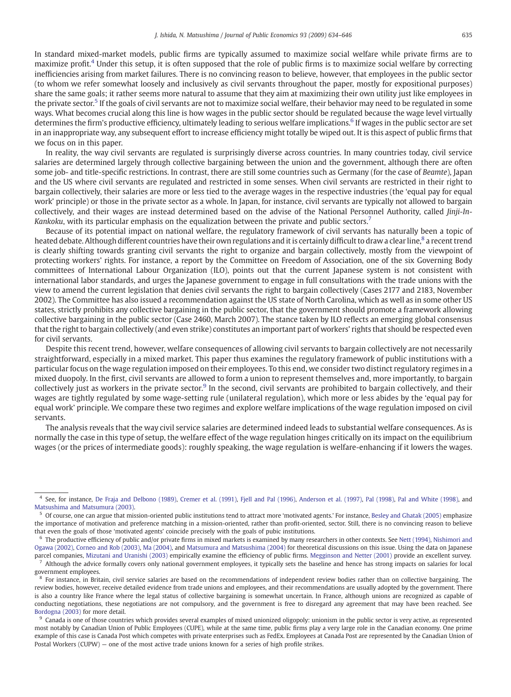In standard mixed-market models, public firms are typically assumed to maximize social welfare while private firms are to maximize profit.4 Under this setup, it is often supposed that the role of public firms is to maximize social welfare by correcting inefficiencies arising from market failures. There is no convincing reason to believe, however, that employees in the public sector (to whom we refer somewhat loosely and inclusively as civil servants throughout the paper, mostly for expositional purposes) share the same goals; it rather seems more natural to assume that they aim at maximizing their own utility just like employees in the private sector.<sup>5</sup> If the goals of civil servants are not to maximize social welfare, their behavior may need to be regulated in some ways. What becomes crucial along this line is how wages in the public sector should be regulated because the wage level virtually determines the firm's productive efficiency, ultimately leading to serious welfare implications.<sup>6</sup> If wages in the public sector are set in an inappropriate way, any subsequent effort to increase efficiency might totally be wiped out. It is this aspect of public firms that we focus on in this paper.

In reality, the way civil servants are regulated is surprisingly diverse across countries. In many countries today, civil service salaries are determined largely through collective bargaining between the union and the government, although there are often some job- and title-specific restrictions. In contrast, there are still some countries such as Germany (for the case of Beamte), Japan and the US where civil servants are regulated and restricted in some senses. When civil servants are restricted in their right to bargain collectively, their salaries are more or less tied to the average wages in the respective industries (the 'equal pay for equal work' principle) or those in the private sector as a whole. In Japan, for instance, civil servants are typically not allowed to bargain collectively, and their wages are instead determined based on the advise of the National Personnel Authority, called Jinji-In-Kankoku, with its particular emphasis on the equalization between the private and public sectors.<sup>7</sup>

Because of its potential impact on national welfare, the regulatory framework of civil servants has naturally been a topic of heated debate. Although different countries have their own regulations and it is certainly difficult to draw a clear line,<sup>8</sup> a recent trend is clearly shifting towards granting civil servants the right to organize and bargain collectively, mostly from the viewpoint of protecting workers' rights. For instance, a report by the Committee on Freedom of Association, one of the six Governing Body committees of International Labour Organization (ILO), points out that the current Japanese system is not consistent with international labor standards, and urges the Japanese government to engage in full consultations with the trade unions with the view to amend the current legislation that denies civil servants the right to bargain collectively (Cases 2177 and 2183, November 2002). The Committee has also issued a recommendation against the US state of North Carolina, which as well as in some other US states, strictly prohibits any collective bargaining in the public sector, that the government should promote a framework allowing collective bargaining in the public sector (Case 2460, March 2007). The stance taken by ILO reflects an emerging global consensus that the right to bargain collectively (and even strike) constitutes an important part of workers' rights that should be respected even for civil servants.

Despite this recent trend, however, welfare consequences of allowing civil servants to bargain collectively are not necessarily straightforward, especially in a mixed market. This paper thus examines the regulatory framework of public institutions with a particular focus on the wage regulation imposed on their employees. To this end, we consider two distinct regulatory regimes in a mixed duopoly. In the first, civil servants are allowed to form a union to represent themselves and, more importantly, to bargain collectively just as workers in the private sector.<sup>9</sup> In the second, civil servants are prohibited to bargain collectively, and their wages are tightly regulated by some wage-setting rule (unilateral regulation), which more or less abides by the 'equal pay for equal work' principle. We compare these two regimes and explore welfare implications of the wage regulation imposed on civil servants.

The analysis reveals that the way civil service salaries are determined indeed leads to substantial welfare consequences. As is normally the case in this type of setup, the welfare effect of the wage regulation hinges critically on its impact on the equilibrium wages (or the prices of intermediate goods): roughly speaking, the wage regulation is welfare-enhancing if it lowers the wages.

<sup>4</sup> See, for instance, [De Fraja and Delbono \(1989\),](#page--1-0) [Cremer et al. \(1991\)](#page--1-0), [Fjell and Pal \(1996\),](#page--1-0) [Anderson et al. \(1997\),](#page--1-0) [Pal \(1998\),](#page--1-0) [Pal and White \(1998\)](#page--1-0), and [Matsushima and Matsumura \(2003\).](#page--1-0)

 $5$  Of course, one can argue that mission-oriented public institutions tend to attract more 'motivated agents.' For instance, [Besley and Ghatak \(2005\)](#page--1-0) emphasize the importance of motivation and preference matching in a mission-oriented, rather than profit-oriented, sector. Still, there is no convincing reason to believe that even the goals of those 'motivated agents' coincide precisely with the goals of pubic institutions.

 $6$  The productive efficiency of public and/or private firms in mixed markets is examined by many researchers in other contexts. See [Nett \(1994\)](#page--1-0), [Nishimori and](#page--1-0) [Ogawa \(2002\),](#page--1-0) [Corneo and Rob \(2003\),](#page--1-0) [Ma \(2004\),](#page--1-0) and [Matsumura and Matsushima \(2004\)](#page--1-0) for theoretical discussions on this issue. Using the data on Japanese parcel companies, [Mizutani and Uranishi \(2003\)](#page--1-0) empirically examine the efficiency of public firms. [Megginson and Netter \(2001\)](#page--1-0) provide an excellent survey.  $^7$  Although the advice formally covers only national government employees, it typically sets the baseline and hence has strong impacts on salaries for local

government employees. 8 For instance, in Britain, civil service salaries are based on the recommendations of independent review bodies rather than on collective bargaining. The review bodies, however, receive detailed evidence from trade unions and employees, and their recommendations are usually adopted by the government. There

is also a country like France where the legal status of collective bargaining is somewhat uncertain. In France, although unions are recognized as capable of conducting negotiations, these negotiations are not compulsory, and the government is free to disregard any agreement that may have been reached. See [Bordogna \(2003\)](#page--1-0) for more detail.

<sup>&</sup>lt;sup>9</sup> Canada is one of those countries which provides several examples of mixed unionized oligopoly: unionism in the public sector is very active, as represented most notably by Canadian Union of Public Employees (CUPE), while at the same time, public firms play a very large role in the Canadian economy. One prime example of this case is Canada Post which competes with private enterprises such as FedEx. Employees at Canada Post are represented by the Canadian Union of Postal Workers (CUPW) — one of the most active trade unions known for a series of high profile strikes.